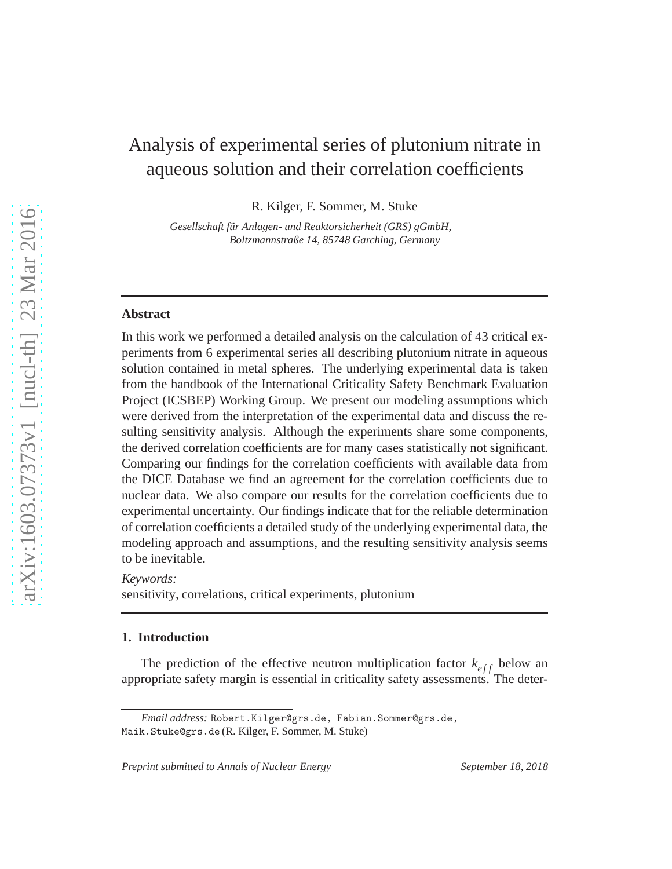# Analysis of experimental series of plutonium nitrate in aqueous solution and their correlation coefficients

R. Kilger, F. Sommer, M. Stuke

*Gesellschaft fur Anlagen- und Reaktorsicherheit (GRS) gGmbH, ¨ Boltzmannstraße 14, 85748 Garching, Germany*

## **Abstract**

In this work we performed a detailed analysis on the calculation of 43 critical experiments from 6 experimental series all describing plutonium nitrate in aqueous solution contained in metal spheres. The underlying experimental data is taken from the handbook of the International Criticality Safety Benchmark Evaluation Project (ICSBEP) Working Group. We present our modeling assumptions which were derived from the interpretation of the experimental data and discuss the resulting sensitivity analysis. Although the experiments share some components, the derived correlation coefficients are for many cases statistically not significant. Comparing our findings for the correlation coefficients with available data from the DICE Database we find an agreement for the correlation coefficients due to nuclear data. We also compare our results for the correlation coefficients due to experimental uncertainty. Our findings indicate that for the reliable determination of correlation coefficients a detailed study of the underlying experimental data, the modeling approach and assumptions, and the resulting sensitivity analysis seems to be inevitable.

*Keywords:*

sensitivity, correlations, critical experiments, plutonium

#### **1. Introduction**

The prediction of the effective neutron multiplication factor  $k_{eff}$  below an appropriate safety margin is essential in criticality safety assessments. The deter-

*Email address:* Robert.Kilger@grs.de, Fabian.Sommer@grs.de,

Maik.Stuke@grs.de (R. Kilger, F. Sommer, M. Stuke)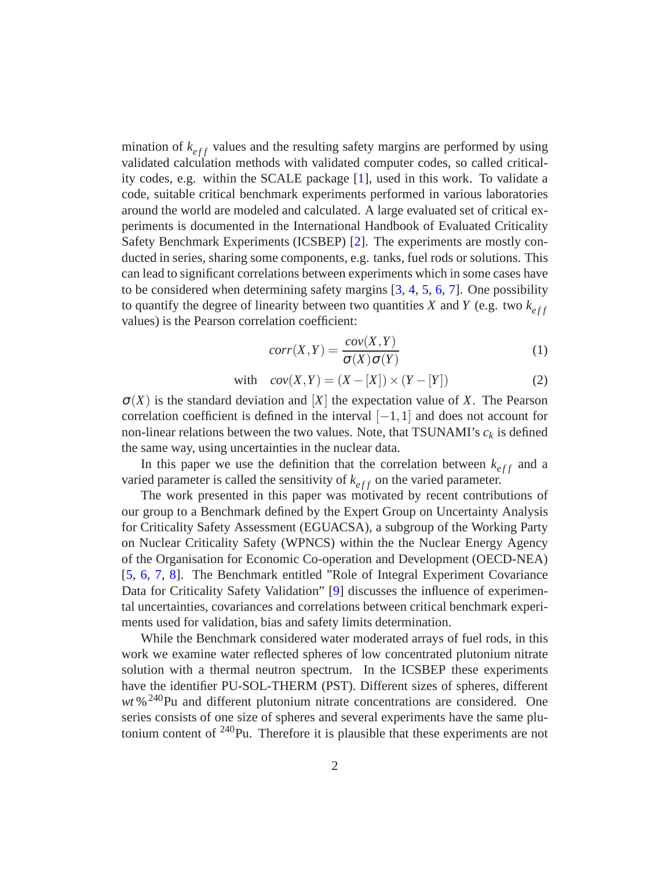mination of  $k_{eff}$  values and the resulting safety margins are performed by using validated calculation methods with validated computer codes, so called criticality codes, e.g. within the SCALE package [\[1](#page-17-0)], used in this work. To validate a code, suitable critical benchmark experiments performed in various laboratories around the world are modeled and calculated. A large evaluated set of critical experiments is documented in the International Handbook of Evaluated Criticality Safety Benchmark Experiments (ICSBEP) [\[2\]](#page-17-1). The experiments are mostly conducted in series, sharing some components, e.g. tanks, fuel rods or solutions. This can lead to significant correlations between experiments which in some cases have to be considered when determining safety margins [\[3](#page-17-2), [4](#page-17-3), [5,](#page-17-4) [6,](#page-17-5) [7](#page-18-0)]. One possibility to quantify the degree of linearity between two quantities *X* and *Y* (e.g. two  $k_{eff}$ values) is the Pearson correlation coefficient:

$$
corr(X,Y) = \frac{cov(X,Y)}{\sigma(X)\sigma(Y)}\tag{1}
$$

with 
$$
cov(X,Y) = (X - [X]) \times (Y - [Y])
$$
 (2)

 $\sigma(X)$  is the standard deviation and [X] the expectation value of X. The Pearson correlation coefficient is defined in the interval  $[-1,1]$  and does not account for non-linear relations between the two values. Note, that TSUNAMI's *c<sup>k</sup>* is defined the same way, using uncertainties in the nuclear data.

In this paper we use the definition that the correlation between  $k_{eff}$  and a varied parameter is called the sensitivity of  $k_{eff}$  on the varied parameter.

The work presented in this paper was motivated by recent contributions of our group to a Benchmark defined by the Expert Group on Uncertainty Analysis for Criticality Safety Assessment (EGUACSA), a subgroup of the Working Party on Nuclear Criticality Safety (WPNCS) within the the Nuclear Energy Agency of the Organisation for Economic Co-operation and Development (OECD-NEA) [\[5,](#page-17-4) [6](#page-17-5), [7](#page-18-0), [8\]](#page-18-1). The Benchmark entitled "Role of Integral Experiment Covariance Data for Criticality Safety Validation" [\[9](#page-18-2)] discusses the influence of experimental uncertainties, covariances and correlations between critical benchmark experiments used for validation, bias and safety limits determination.

While the Benchmark considered water moderated arrays of fuel rods, in this work we examine water reflected spheres of low concentrated plutonium nitrate solution with a thermal neutron spectrum. In the ICSBEP these experiments have the identifier PU-SOL-THERM (PST). Different sizes of spheres, different wt %<sup>240</sup>Pu and different plutonium nitrate concentrations are considered. One series consists of one size of spheres and several experiments have the same plutonium content of <sup>240</sup>Pu. Therefore it is plausible that these experiments are not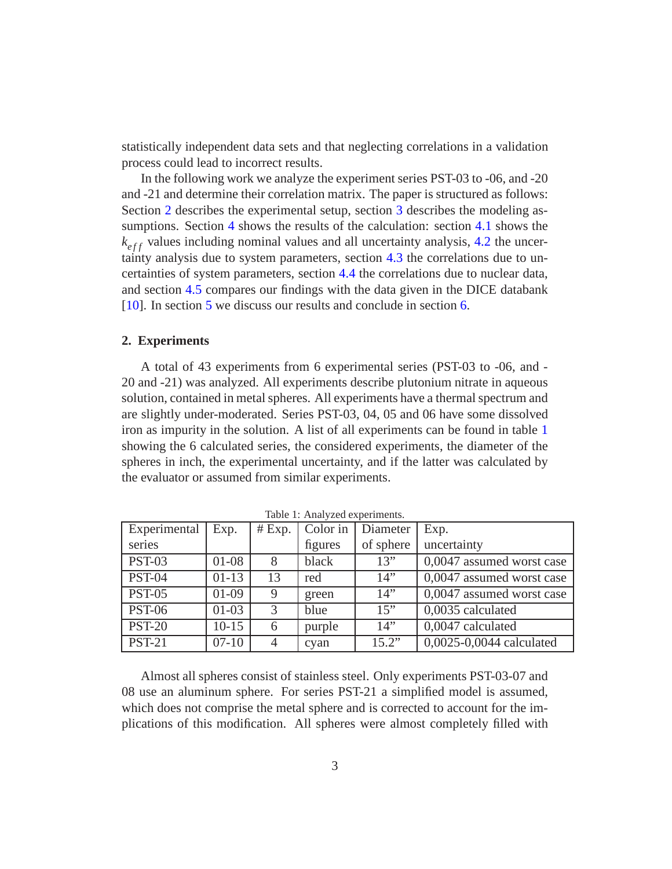statistically independent data sets and that neglecting correlations in a validation process could lead to incorrect results.

In the following work we analyze the experiment series PST-03 to -06, and -20 and -21 and determine their correlation matrix. The paper is structured as follows: Section [2](#page-2-0) describes the experimental setup, section [3](#page-3-0) describes the modeling assumptions. Section [4](#page-7-0) shows the results of the calculation: section [4.1](#page-7-1) shows the  $k_{eff}$  values including nominal values and all uncertainty analysis, [4.2](#page-9-0) the uncertainty analysis due to system parameters, section [4.3](#page-11-0) the correlations due to uncertainties of system parameters, section [4.4](#page-13-0) the correlations due to nuclear data, and section [4.5](#page-14-0) compares our findings with the data given in the DICE databank [\[10\]](#page-18-3). In section [5](#page-15-0) we discuss our results and conclude in section [6.](#page-16-0)

## <span id="page-2-0"></span>**2. Experiments**

A total of 43 experiments from 6 experimental series (PST-03 to -06, and - 20 and -21) was analyzed. All experiments describe plutonium nitrate in aqueous solution, contained in metal spheres. All experiments have a thermal spectrum and are slightly under-moderated. Series PST-03, 04, 05 and 06 have some dissolved iron as impurity in the solution. A list of all experiments can be found in table [1](#page-2-1) showing the 6 calculated series, the considered experiments, the diameter of the spheres in inch, the experimental uncertainty, and if the latter was calculated by the evaluator or assumed from similar experiments.

| Experimental  | Exp.      | # Exp. | Color in | Diameter  | Exp.                      |
|---------------|-----------|--------|----------|-----------|---------------------------|
| series        |           |        | figures  | of sphere | uncertainty               |
| <b>PST-03</b> | $01 - 08$ | 8      | black    | 13"       | 0,0047 assumed worst case |
| <b>PST-04</b> | $01-13$   | 13     | red      | 14"       | 0,0047 assumed worst case |
| <b>PST-05</b> | $01-09$   | 9      | green    | 14"       | 0,0047 assumed worst case |
| <b>PST-06</b> | $01-03$   | 3      | blue     | 15"       | 0,0035 calculated         |
| <b>PST-20</b> | $10-15$   | 6      | purple   | 14"       | 0,0047 calculated         |
| <b>PST-21</b> | $07 - 10$ |        | cyan     | 15.2"     | 0,0025-0,0044 calculated  |

<span id="page-2-1"></span>Table 1: Analyzed experiments.

Almost all spheres consist of stainless steel. Only experiments PST-03-07 and 08 use an aluminum sphere. For series PST-21 a simplified model is assumed, which does not comprise the metal sphere and is corrected to account for the implications of this modification. All spheres were almost completely filled with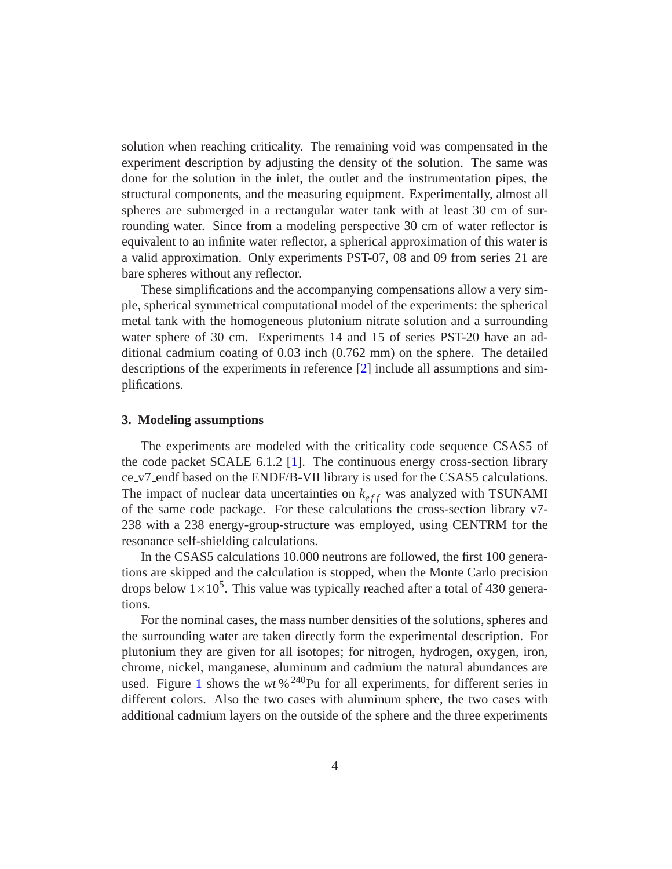solution when reaching criticality. The remaining void was compensated in the experiment description by adjusting the density of the solution. The same was done for the solution in the inlet, the outlet and the instrumentation pipes, the structural components, and the measuring equipment. Experimentally, almost all spheres are submerged in a rectangular water tank with at least 30 cm of surrounding water. Since from a modeling perspective 30 cm of water reflector is equivalent to an infinite water reflector, a spherical approximation of this water is a valid approximation. Only experiments PST-07, 08 and 09 from series 21 are bare spheres without any reflector.

These simplifications and the accompanying compensations allow a very simple, spherical symmetrical computational model of the experiments: the spherical metal tank with the homogeneous plutonium nitrate solution and a surrounding water sphere of 30 cm. Experiments 14 and 15 of series PST-20 have an additional cadmium coating of 0.03 inch (0.762 mm) on the sphere. The detailed descriptions of the experiments in reference [\[2\]](#page-17-1) include all assumptions and simplifications.

#### <span id="page-3-0"></span>**3. Modeling assumptions**

The experiments are modeled with the criticality code sequence CSAS5 of the code packet SCALE 6.1.2 [\[1](#page-17-0)]. The continuous energy cross-section library ce v7 endf based on the ENDF/B-VII library is used for the CSAS5 calculations. The impact of nuclear data uncertainties on  $k_{eff}$  was analyzed with TSUNAMI of the same code package. For these calculations the cross-section library v7- 238 with a 238 energy-group-structure was employed, using CENTRM for the resonance self-shielding calculations.

In the CSAS5 calculations 10.000 neutrons are followed, the first 100 generations are skipped and the calculation is stopped, when the Monte Carlo precision drops below  $1 \times 10^5$ . This value was typically reached after a total of 430 generations.

For the nominal cases, the mass number densities of the solutions, spheres and the surrounding water are taken directly form the experimental description. For plutonium they are given for all isotopes; for nitrogen, hydrogen, oxygen, iron, chrome, nickel, manganese, aluminum and cadmium the natural abundances are used. Figure [1](#page-4-0) shows the  $wt \frac{6^{240}Pu}{r}$  for all experiments, for different series in different colors. Also the two cases with aluminum sphere, the two cases with additional cadmium layers on the outside of the sphere and the three experiments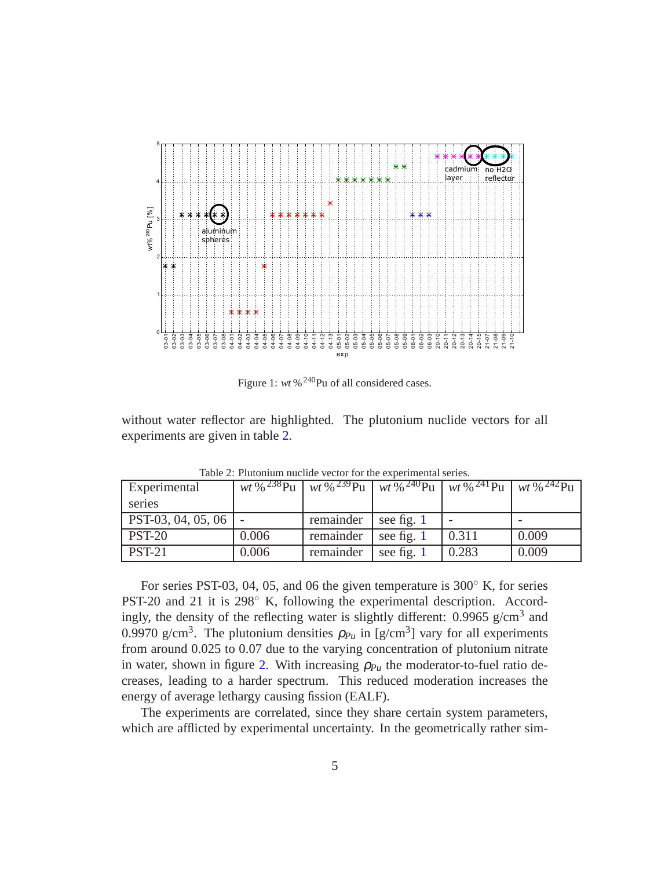

<span id="page-4-0"></span>Figure 1:  $wt \frac{640}{1}$ Pu of all considered cases.

without water reflector are highlighted. The plutonium nuclide vectors for all experiments are given in table [2.](#page-4-1)

| Experimental         |       |           |              | wt % <sup>238</sup> Pu   wt % <sup>239</sup> Pu   wt % <sup>240</sup> Pu   wt % <sup>241</sup> Pu   wt % <sup>242</sup> Pu |       |
|----------------------|-------|-----------|--------------|----------------------------------------------------------------------------------------------------------------------------|-------|
| series               |       |           |              |                                                                                                                            |       |
| $PST-03, 04, 05, 06$ |       | remainder | see fig. 1   |                                                                                                                            |       |
| <b>PST-20</b>        | 0.006 | remainder | see fig. 1   | 0.311                                                                                                                      | 0.009 |
| <b>PST-21</b>        | 0.006 | remainder | see fig. $1$ | 0.283                                                                                                                      | 0.009 |

<span id="page-4-1"></span>Table 2: Plutonium nuclide vector for the experimental series.

For series PST-03, 04, 05, and 06 the given temperature is 300◦ K, for series PST-20 and 21 it is 298° K, following the experimental description. Accordingly, the density of the reflecting water is slightly different:  $0.9965$  g/cm<sup>3</sup> and 0.9970 g/cm<sup>3</sup>. The plutonium densities  $\rho_{Pu}$  in [g/cm<sup>3</sup>] vary for all experiments from around 0.025 to 0.07 due to the varying concentration of plutonium nitrate in water, shown in figure [2.](#page-5-0) With increasing  $\rho_{Pu}$  the moderator-to-fuel ratio decreases, leading to a harder spectrum. This reduced moderation increases the energy of average lethargy causing fission (EALF).

The experiments are correlated, since they share certain system parameters, which are afflicted by experimental uncertainty. In the geometrically rather sim-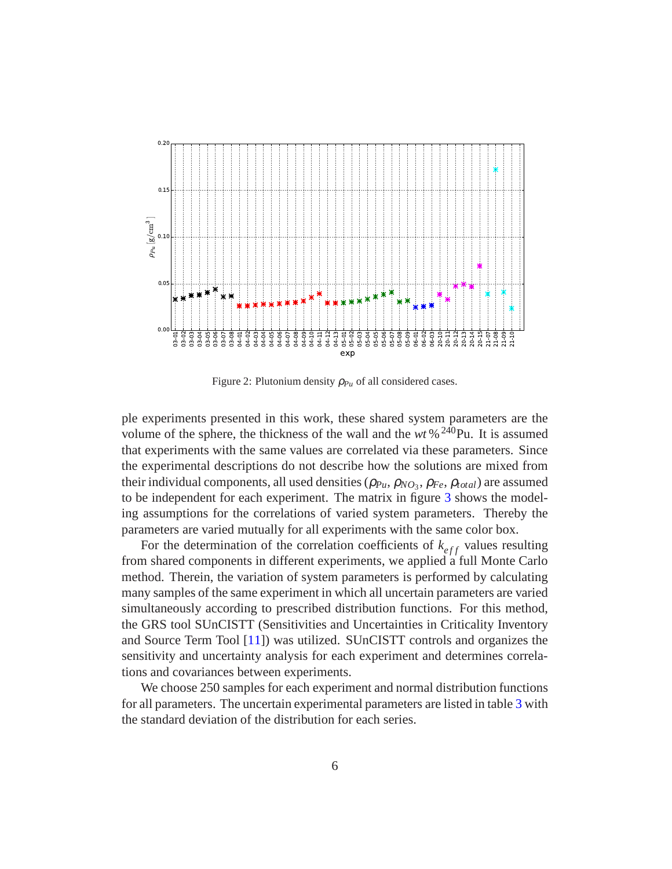

<span id="page-5-0"></span>Figure 2: Plutonium density  $\rho_{Pu}$  of all considered cases.

ple experiments presented in this work, these shared system parameters are the volume of the sphere, the thickness of the wall and the  $wt$ %<sup>240</sup>Pu. It is assumed that experiments with the same values are correlated via these parameters. Since the experimental descriptions do not describe how the solutions are mixed from their individual components, all used densities ( $ρ<sub>Pu</sub>, ρ<sub>NO<sub>3</sub></sub>, ρ<sub>Fe</sub>, ρ<sub>total</sub>$ ) are assumed to be independent for each experiment. The matrix in figure [3](#page-6-0) shows the modeling assumptions for the correlations of varied system parameters. Thereby the parameters are varied mutually for all experiments with the same color box.

For the determination of the correlation coefficients of  $k_{eff}$  values resulting from shared components in different experiments, we applied a full Monte Carlo method. Therein, the variation of system parameters is performed by calculating many samples of the same experiment in which all uncertain parameters are varied simultaneously according to prescribed distribution functions. For this method, the GRS tool SUnCISTT (Sensitivities and Uncertainties in Criticality Inventory and Source Term Tool [\[11\]](#page-18-4)) was utilized. SUnCISTT controls and organizes the sensitivity and uncertainty analysis for each experiment and determines correlations and covariances between experiments.

We choose 250 samples for each experiment and normal distribution functions for all parameters. The uncertain experimental parameters are listed in table [3](#page-7-2) with the standard deviation of the distribution for each series.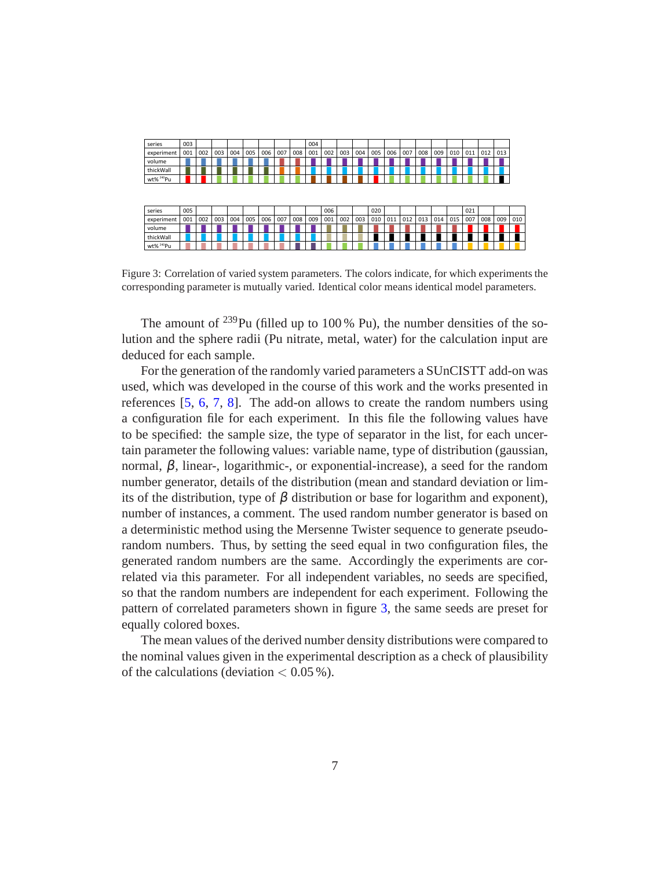| series                | 003 |     |     |     |     |     |     |     | 004 |     |     |     |     |     |     |     |     |     |     |     |     |     |
|-----------------------|-----|-----|-----|-----|-----|-----|-----|-----|-----|-----|-----|-----|-----|-----|-----|-----|-----|-----|-----|-----|-----|-----|
| experiment            | 001 | 002 | 003 | 004 | 005 | 006 | 007 | 008 | 001 | 002 | 003 | 004 | 005 | 006 | 007 | 008 | 009 | 010 | 011 | 012 | 013 |     |
| volume                |     |     |     |     |     |     |     |     |     |     |     |     |     |     |     |     |     |     |     |     |     |     |
| thickWall             |     |     |     |     |     |     |     |     |     |     |     |     |     |     |     |     |     |     |     |     |     |     |
| wt% <sup>240</sup> Pu |     |     |     |     |     |     |     |     |     |     |     |     |     |     |     |     |     |     |     |     |     |     |
| series                | 005 |     |     |     |     |     |     |     |     | 006 |     |     | 020 |     |     |     |     |     | 021 |     |     |     |
| experiment            | 001 | 002 | 003 | 004 | 005 | 006 | 007 | 008 | 009 | 001 | 002 | 003 | 010 | 011 | 012 | 013 | 014 | 015 | 007 | 008 | 009 | 010 |
| volume                |     |     |     |     |     |     |     |     |     |     |     |     |     |     |     |     |     |     |     |     |     |     |
| thickWall             |     |     |     |     |     |     |     |     |     |     |     |     |     |     |     |     |     |     |     |     |     |     |
| wt% <sup>240</sup> Pu |     |     |     |     |     |     |     |     |     |     |     |     |     |     |     |     |     |     |     |     |     |     |

<span id="page-6-0"></span>Figure 3: Correlation of varied system parameters. The colors indicate, for which experiments the corresponding parameter is mutually varied. Identical color means identical model parameters.

The amount of  $^{239}$ Pu (filled up to 100 % Pu), the number densities of the solution and the sphere radii (Pu nitrate, metal, water) for the calculation input are deduced for each sample.

For the generation of the randomly varied parameters a SUnCISTT add-on was used, which was developed in the course of this work and the works presented in references [\[5](#page-17-4), [6](#page-17-5), [7](#page-18-0), [8](#page-18-1)]. The add-on allows to create the random numbers using a configuration file for each experiment. In this file the following values have to be specified: the sample size, the type of separator in the list, for each uncertain parameter the following values: variable name, type of distribution (gaussian, normal,  $β$ , linear-, logarithmic-, or exponential-increase), a seed for the random number generator, details of the distribution (mean and standard deviation or limits of the distribution, type of  $\beta$  distribution or base for logarithm and exponent), number of instances, a comment. The used random number generator is based on a deterministic method using the Mersenne Twister sequence to generate pseudorandom numbers. Thus, by setting the seed equal in two configuration files, the generated random numbers are the same. Accordingly the experiments are correlated via this parameter. For all independent variables, no seeds are specified, so that the random numbers are independent for each experiment. Following the pattern of correlated parameters shown in figure [3,](#page-6-0) the same seeds are preset for equally colored boxes.

The mean values of the derived number density distributions were compared to the nominal values given in the experimental description as a check of plausibility of the calculations (deviation  $< 0.05\%$ ).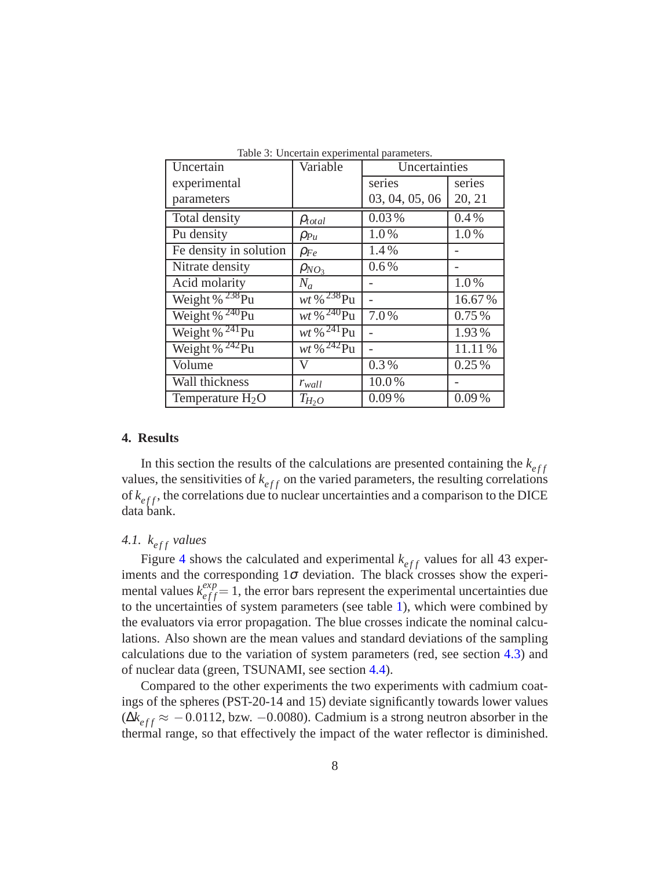| Uncertain              | Variable                          | Uncertainties  |        |  |
|------------------------|-----------------------------------|----------------|--------|--|
| experimental           |                                   | series         | series |  |
| parameters             |                                   | 03, 04, 05, 06 | 20, 21 |  |
| Total density          | $\rho_{total}$                    | 0.03%          | 0.4%   |  |
| Pu density             | $\rho_{Pu}$                       | 1.0%           | 1.0%   |  |
| Fe density in solution | $\rho_{Fe}$                       | 1.4%           |        |  |
| Nitrate density        | $\rho_{NO_3}$                     | 0.6%           |        |  |
| Acid molarity          | $N_a$                             |                | 1.0%   |  |
| Weight % $^{238}$ Pu   | $wt$ % $^{238}$ Pu                |                | 16.67% |  |
| Weight % $^{240}$ Pu   | $wt$ % $^{240}Pu$                 | 7.0%           | 0.75%  |  |
| Weight % $^{241}$ Pu   | $wt \, \% \, {}^{241}\mathrm{Pu}$ |                | 1.93%  |  |
| Weight % $^{242}$ Pu   | $wt \, \% \, {}^{242}\mathrm{Pu}$ |                | 11.11% |  |
| Volume                 | V                                 | 0.3%           | 0.25%  |  |
| Wall thickness         | $r_{wall}$                        | 10.0%          |        |  |
| Temperature $H_2O$     | $T_{H_2O}$                        | 0.09%          | 0.09%  |  |

<span id="page-7-2"></span>Table 3: Uncertain experimental parameters.

#### <span id="page-7-0"></span>**4. Results**

In this section the results of the calculations are presented containing the  $k_{eff}$ values, the sensitivities of  $k_{eff}$  on the varied parameters, the resulting correlations of  $k_{eff}$ , the correlations due to nuclear uncertainties and a comparison to the DICE data bank.

## <span id="page-7-1"></span>4.1.  $k_{eff}$  *values*

Figure [4](#page-8-0) shows the calculated and experimental  $k_{eff}$  values for all 43 experiments and the corresponding  $1\sigma$  deviation. The black crosses show the experimental values  $k_{eff}^{exp} = 1$ , the error bars represent the experimental uncertainties due to the uncertainties of system parameters (see table [1\)](#page-2-1), which were combined by the evaluators via error propagation. The blue crosses indicate the nominal calculations. Also shown are the mean values and standard deviations of the sampling calculations due to the variation of system parameters (red, see section [4.3\)](#page-11-0) and of nuclear data (green, TSUNAMI, see section [4.4\)](#page-13-0).

Compared to the other experiments the two experiments with cadmium coatings of the spheres (PST-20-14 and 15) deviate significantly towards lower values  $(\Delta k_{eff} \approx -0.0112, bzw. -0.0080)$ . Cadmium is a strong neutron absorber in the thermal range, so that effectively the impact of the water reflector is diminished.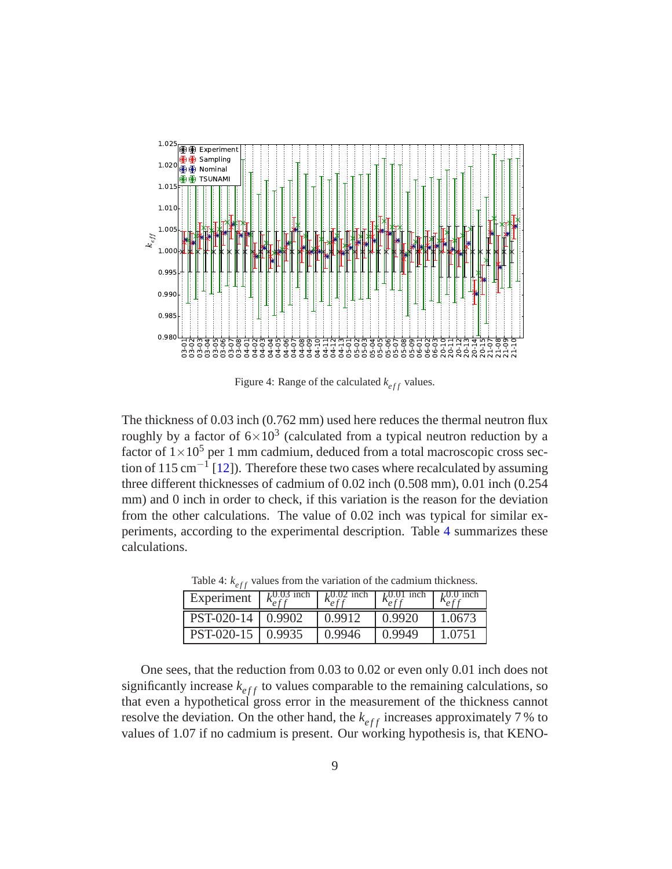

<span id="page-8-0"></span>Figure 4: Range of the calculated  $k_{eff}$  values.

The thickness of 0.03 inch (0.762 mm) used here reduces the thermal neutron flux roughly by a factor of  $6\times10^3$  (calculated from a typical neutron reduction by a factor of  $1 \times 10^5$  per 1 mm cadmium, deduced from a total macroscopic cross sec-tion of 115 cm<sup>-1</sup> [\[12](#page-18-5)]). Therefore these two cases where recalculated by assuming three different thicknesses of cadmium of 0.02 inch (0.508 mm), 0.01 inch (0.254 mm) and 0 inch in order to check, if this variation is the reason for the deviation from the other calculations. The value of 0.02 inch was typical for similar experiments, according to the experimental description. Table [4](#page-8-1) summarizes these calculations.

| Experiment |        | .0.02 inch | 1,0.01 inch |        |
|------------|--------|------------|-------------|--------|
| PST-020-14 | 0.9902 | 0.9912     | 0.9920      | 1.0673 |
| PST-020-15 | 0.9935 | 0.9946     | 0.9949      | 1.0751 |

<span id="page-8-1"></span>Table 4:  $k_{eff}$  values from the variation of the cadmium thickness.

One sees, that the reduction from 0.03 to 0.02 or even only 0.01 inch does not significantly increase  $k_{eff}$  to values comparable to the remaining calculations, so that even a hypothetical gross error in the measurement of the thickness cannot resolve the deviation. On the other hand, the  $k_{eff}$  increases approximately 7% to values of 1.07 if no cadmium is present. Our working hypothesis is, that KENO-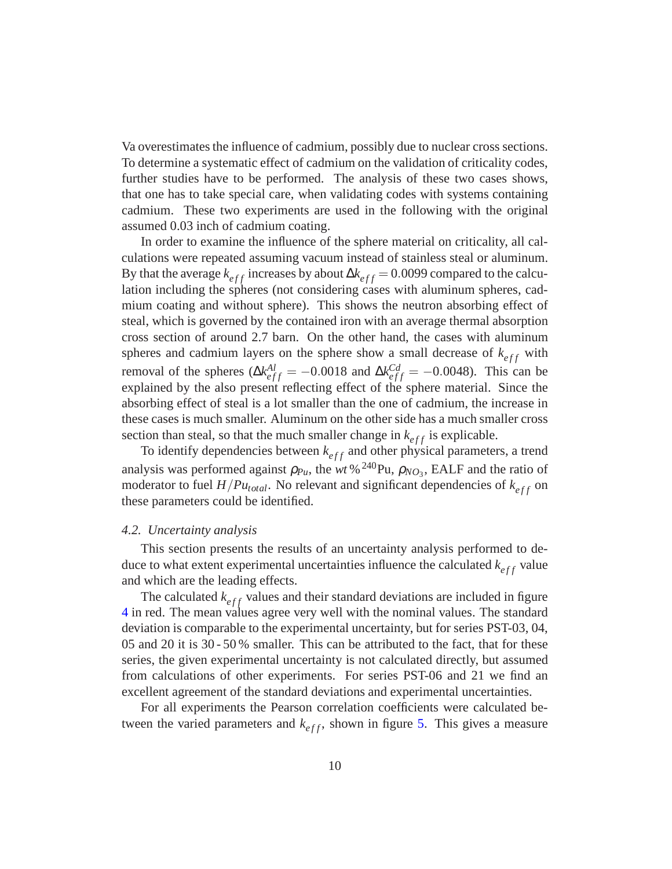Va overestimates the influence of cadmium, possibly due to nuclear cross sections. To determine a systematic effect of cadmium on the validation of criticality codes, further studies have to be performed. The analysis of these two cases shows, that one has to take special care, when validating codes with systems containing cadmium. These two experiments are used in the following with the original assumed 0.03 inch of cadmium coating.

In order to examine the influence of the sphere material on criticality, all calculations were repeated assuming vacuum instead of stainless steal or aluminum. By that the average  $k_{eff}$  increases by about  $\Delta k_{eff} = 0.0099$  compared to the calculation including the spheres (not considering cases with aluminum spheres, cadmium coating and without sphere). This shows the neutron absorbing effect of steal, which is governed by the contained iron with an average thermal absorption cross section of around 2.7 barn. On the other hand, the cases with aluminum spheres and cadmium layers on the sphere show a small decrease of  $k_{eff}$  with removal of the spheres ( $\Delta k_{eff}^{Al} = -0.0018$  and  $\Delta k_{eff}^{Cd} = -0.0048$ ). This can be explained by the also present reflecting effect of the sphere material. Since the absorbing effect of steal is a lot smaller than the one of cadmium, the increase in these cases is much smaller. Aluminum on the other side has a much smaller cross section than steal, so that the much smaller change in  $k_{eff}$  is explicable.

To identify dependencies between  $k_{eff}$  and other physical parameters, a trend analysis was performed against  $\rho_{Pu}$ , the *wt* % <sup>240</sup>Pu,  $\rho_{NO_3}$ , EALF and the ratio of moderator to fuel  $H/Pu_{total}$ . No relevant and significant dependencies of  $k_{eff}$  on these parameters could be identified.

#### <span id="page-9-0"></span>*4.2. Uncertainty analysis*

This section presents the results of an uncertainty analysis performed to deduce to what extent experimental uncertainties influence the calculated  $k_{eff}$  value and which are the leading effects.

The calculated  $k_{eff}$  values and their standard deviations are included in figure [4](#page-8-0) in red. The mean values agree very well with the nominal values. The standard deviation is comparable to the experimental uncertainty, but for series PST-03, 04, 05 and 20 it is 30 - 50 % smaller. This can be attributed to the fact, that for these series, the given experimental uncertainty is not calculated directly, but assumed from calculations of other experiments. For series PST-06 and 21 we find an excellent agreement of the standard deviations and experimental uncertainties.

For all experiments the Pearson correlation coefficients were calculated between the varied parameters and  $k_{eff}$ , shown in figure [5.](#page-10-0) This gives a measure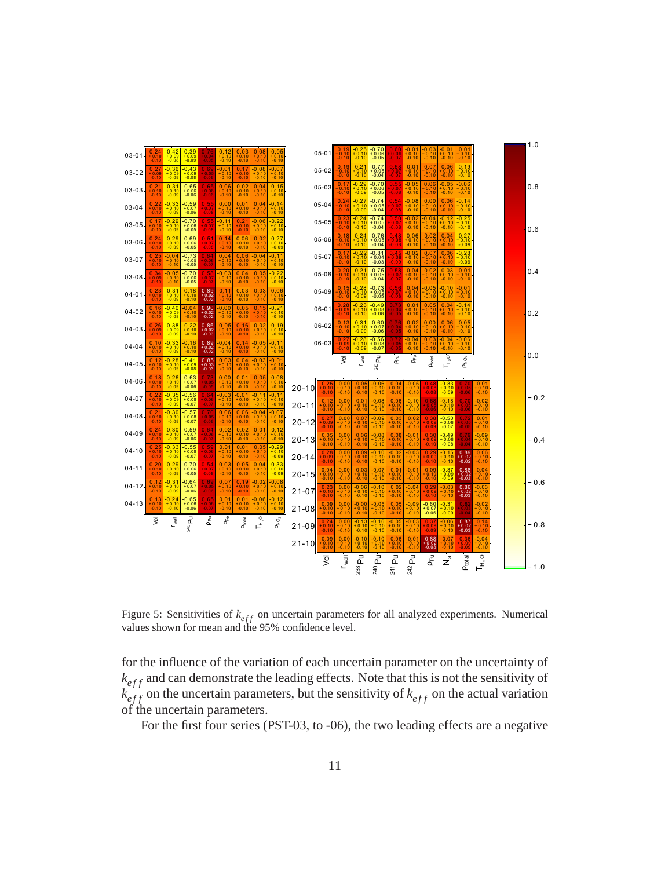

<span id="page-10-0"></span>Figure 5: Sensitivities of  $k_{eff}$  on uncertain parameters for all analyzed experiments. Numerical values shown for mean and the 95% confidence level.

for the influence of the variation of each uncertain parameter on the uncertainty of  $k_{eff}$  and can demonstrate the leading effects. Note that this is not the sensitivity of  $k_{eff}^{e_{ff}}$  on the uncertain parameters, but the sensitivity of  $k_{eff}$  on the actual variation of the uncertain parameters.

For the first four series (PST-03, to -06), the two leading effects are a negative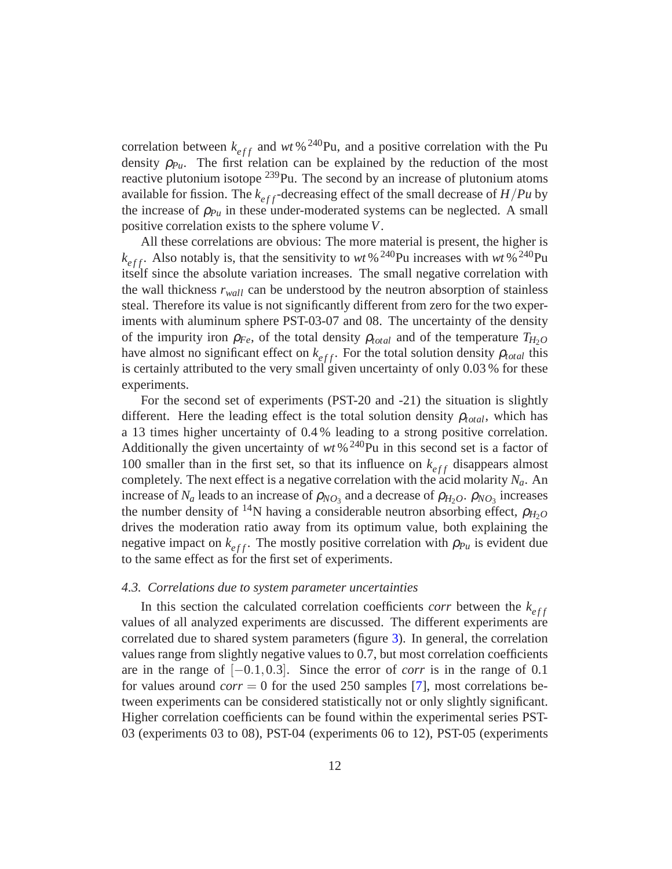correlation between  $k_{eff}$  and *wt* %<sup>240</sup>Pu, and a positive correlation with the Pu density  $\rho_{Pu}$ . The first relation can be explained by the reduction of the most reactive plutonium isotope  $239$ Pu. The second by an increase of plutonium atoms available for fission. The  $k_{eff}$ -decreasing effect of the small decrease of  $H/Pu$  by the increase of  $\rho_{Pu}$  in these under-moderated systems can be neglected. A small positive correlation exists to the sphere volume *V*.

All these correlations are obvious: The more material is present, the higher is  $k_{eff}$ . Also notably is, that the sensitivity to *wt* %<sup>240</sup>Pu increases with *wt* %<sup>240</sup>Pu itself since the absolute variation increases. The small negative correlation with the wall thickness  $r_{wall}$  can be understood by the neutron absorption of stainless steal. Therefore its value is not significantly different from zero for the two experiments with aluminum sphere PST-03-07 and 08. The uncertainty of the density of the impurity iron  $\rho_{Fe}$ , of the total density  $\rho_{total}$  and of the temperature  $T_{H_2O}$ have almost no significant effect on  $k_{eff}$ . For the total solution density  $\rho_{total}$  this is certainly attributed to the very small given uncertainty of only 0.03 % for these experiments.

For the second set of experiments (PST-20 and -21) the situation is slightly different. Here the leading effect is the total solution density  $\rho_{total}$ , which has a 13 times higher uncertainty of 0.4 % leading to a strong positive correlation. Additionally the given uncertainty of  $wt$ %<sup>240</sup>Pu in this second set is a factor of 100 smaller than in the first set, so that its influence on  $k_{eff}$  disappears almost completely. The next effect is a negative correlation with the acid molarity *Na*. An increase of  $N_a$  leads to an increase of  $\rho_{NO_3}$  and a decrease of  $\rho_{H_2O}$ .  $\rho_{NO_3}$  increases the number density of <sup>14</sup>N having a considerable neutron absorbing effect,  $\rho_{H_2O}$ drives the moderation ratio away from its optimum value, both explaining the negative impact on  $k_{eff}$ . The mostly positive correlation with  $\rho_{Pu}$  is evident due to the same effect as for the first set of experiments.

#### <span id="page-11-0"></span>*4.3. Correlations due to system parameter uncertainties*

In this section the calculated correlation coefficients *corr* between the  $k_{eff}$ values of all analyzed experiments are discussed. The different experiments are correlated due to shared system parameters (figure [3\)](#page-6-0). In general, the correlation values range from slightly negative values to 0.7, but most correlation coefficients are in the range of [−0.1,0.3]. Since the error of *corr* is in the range of 0.1 for values around *corr* = 0 for the used 250 samples [\[7\]](#page-18-0), most correlations between experiments can be considered statistically not or only slightly significant. Higher correlation coefficients can be found within the experimental series PST-03 (experiments 03 to 08), PST-04 (experiments 06 to 12), PST-05 (experiments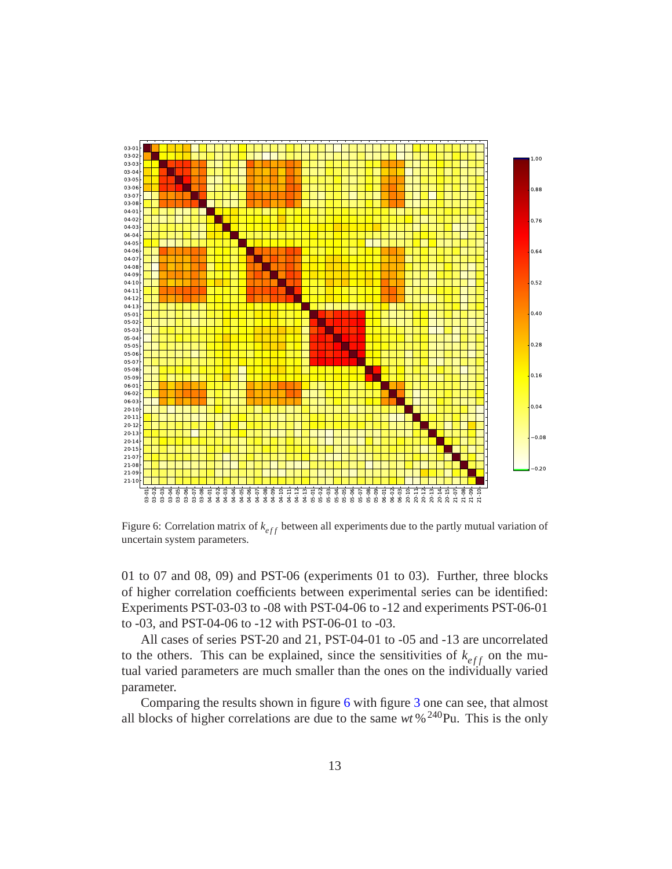

<span id="page-12-0"></span>Figure 6: Correlation matrix of  $k_{eff}$  between all experiments due to the partly mutual variation of uncertain system parameters.

01 to 07 and 08, 09) and PST-06 (experiments 01 to 03). Further, three blocks of higher correlation coefficients between experimental series can be identified: Experiments PST-03-03 to -08 with PST-04-06 to -12 and experiments PST-06-01 to -03, and PST-04-06 to -12 with PST-06-01 to -03.

All cases of series PST-20 and 21, PST-04-01 to -05 and -13 are uncorrelated to the others. This can be explained, since the sensitivities of  $k_{eff}$  on the mutual varied parameters are much smaller than the ones on the individually varied parameter.

Comparing the results shown in figure [6](#page-12-0) with figure [3](#page-6-0) one can see, that almost all blocks of higher correlations are due to the same  $wt$ %<sup>240</sup>Pu. This is the only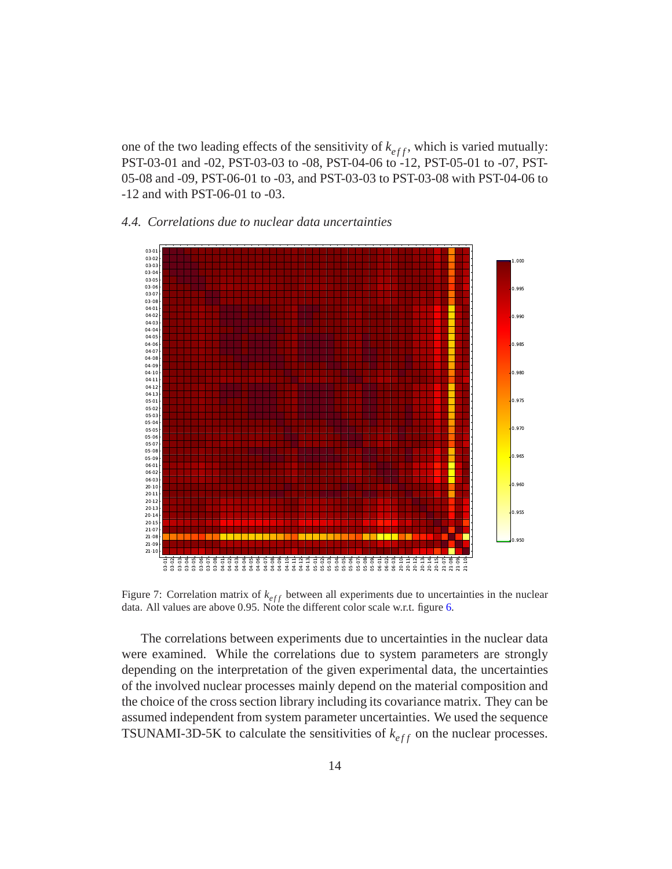one of the two leading effects of the sensitivity of  $k_{eff}$ , which is varied mutually: PST-03-01 and -02, PST-03-03 to -08, PST-04-06 to -12, PST-05-01 to -07, PST-05-08 and -09, PST-06-01 to -03, and PST-03-03 to PST-03-08 with PST-04-06 to -12 and with PST-06-01 to -03.

## <span id="page-13-0"></span>*4.4. Correlations due to nuclear data uncertainties*



<span id="page-13-1"></span>Figure 7: Correlation matrix of  $k_{eff}$  between all experiments due to uncertainties in the nuclear data. All values are above 0.95. Note the different color scale w.r.t. figure [6.](#page-12-0)

The correlations between experiments due to uncertainties in the nuclear data were examined. While the correlations due to system parameters are strongly depending on the interpretation of the given experimental data, the uncertainties of the involved nuclear processes mainly depend on the material composition and the choice of the cross section library including its covariance matrix. They can be assumed independent from system parameter uncertainties. We used the sequence TSUNAMI-3D-5K to calculate the sensitivities of  $k_{eff}$  on the nuclear processes.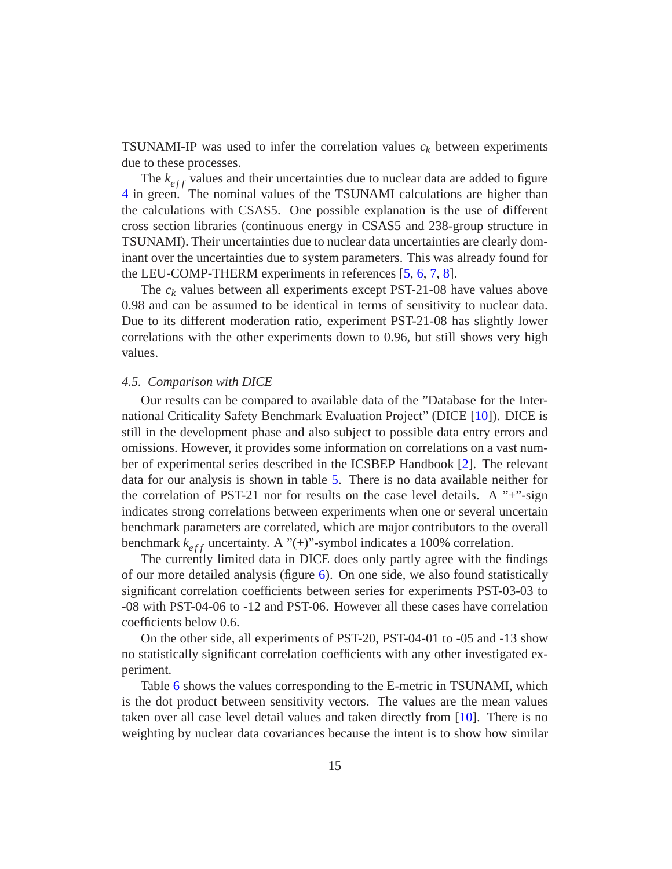**TSUNAMI-IP** was used to infer the correlation values  $c_k$  between experiments due to these processes.

The  $k_{eff}$  values and their uncertainties due to nuclear data are added to figure [4](#page-8-0) in green. The nominal values of the TSUNAMI calculations are higher than the calculations with CSAS5. One possible explanation is the use of different cross section libraries (continuous energy in CSAS5 and 238-group structure in TSUNAMI). Their uncertainties due to nuclear data uncertainties are clearly dominant over the uncertainties due to system parameters. This was already found for the LEU-COMP-THERM experiments in references [\[5,](#page-17-4) [6,](#page-17-5) [7,](#page-18-0) [8\]](#page-18-1).

The  $c_k$  values between all experiments except PST-21-08 have values above 0.98 and can be assumed to be identical in terms of sensitivity to nuclear data. Due to its different moderation ratio, experiment PST-21-08 has slightly lower correlations with the other experiments down to 0.96, but still shows very high values.

#### <span id="page-14-0"></span>*4.5. Comparison with DICE*

Our results can be compared to available data of the "Database for the International Criticality Safety Benchmark Evaluation Project" (DICE [\[10\]](#page-18-3)). DICE is still in the development phase and also subject to possible data entry errors and omissions. However, it provides some information on correlations on a vast number of experimental series described in the ICSBEP Handbook [\[2](#page-17-1)]. The relevant data for our analysis is shown in table [5.](#page-15-1) There is no data available neither for the correlation of PST-21 nor for results on the case level details. A  $"+"$ -sign indicates strong correlations between experiments when one or several uncertain benchmark parameters are correlated, which are major contributors to the overall benchmark  $k_{eff}$  uncertainty. A "(+)"-symbol indicates a 100% correlation.

The currently limited data in DICE does only partly agree with the findings of our more detailed analysis (figure  $6$ ). On one side, we also found statistically significant correlation coefficients between series for experiments PST-03-03 to -08 with PST-04-06 to -12 and PST-06. However all these cases have correlation coefficients below 0.6.

On the other side, all experiments of PST-20, PST-04-01 to -05 and -13 show no statistically significant correlation coefficients with any other investigated experiment.

Table [6](#page-15-2) shows the values corresponding to the E-metric in TSUNAMI, which is the dot product between sensitivity vectors. The values are the mean values taken over all case level detail values and taken directly from [\[10\]](#page-18-3). There is no weighting by nuclear data covariances because the intent is to show how similar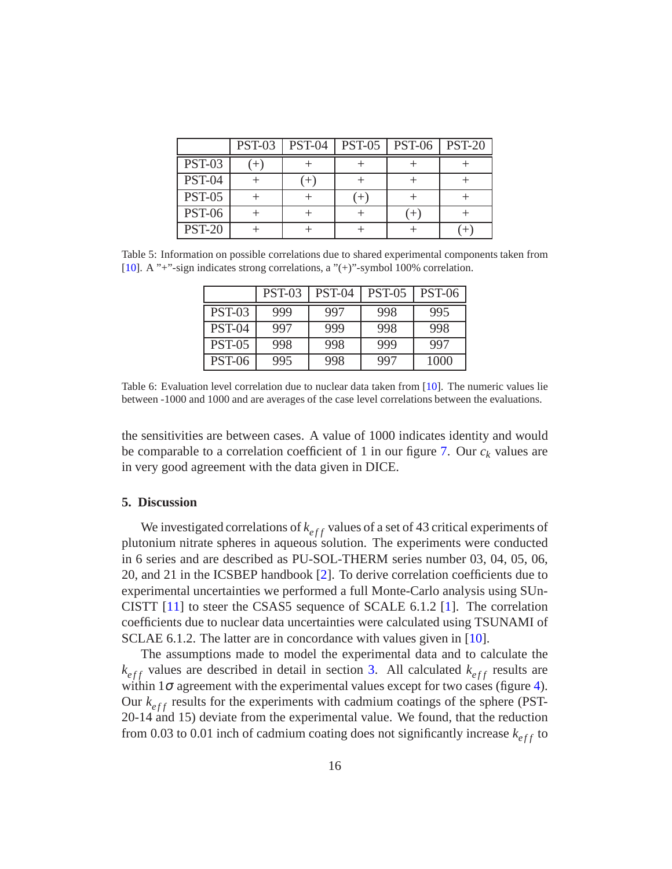|               | <b>PST-03</b> | <b>PST-04</b> | <b>PST-05</b> | <b>PST-06</b> | <b>PST-20</b> |
|---------------|---------------|---------------|---------------|---------------|---------------|
| <b>PST-03</b> |               |               |               |               |               |
| <b>PST-04</b> |               |               |               |               |               |
| <b>PST-05</b> |               |               |               |               |               |
| <b>PST-06</b> |               |               |               | $^{+}$        |               |
| <b>PST-20</b> |               |               |               |               |               |

<span id="page-15-1"></span>Table 5: Information on possible correlations due to shared experimental components taken from [\[10](#page-18-3)]. A "+"-sign indicates strong correlations, a "(+)"-symbol 100% correlation.

|               | <b>PST-03</b> | <b>PST-04</b> | <b>PST-05</b> | <b>PST-06</b> |
|---------------|---------------|---------------|---------------|---------------|
| <b>PST-03</b> | 999           | 997           | 998           | 995           |
| <b>PST-04</b> | 997           | 999           | 998           | 998           |
| <b>PST-05</b> | 998           | 998           | 999           | 997           |
| <b>PST-06</b> | 995           | 998           | 997           | 1000          |

<span id="page-15-2"></span>Table 6: Evaluation level correlation due to nuclear data taken from [\[10\]](#page-18-3). The numeric values lie between -1000 and 1000 and are averages of the case level correlations between the evaluations.

the sensitivities are between cases. A value of 1000 indicates identity and would be comparable to a correlation coefficient of 1 in our figure [7.](#page-13-1) Our *c<sup>k</sup>* values are in very good agreement with the data given in DICE.

## <span id="page-15-0"></span>**5. Discussion**

We investigated correlations of  $k_{eff}$  values of a set of 43 critical experiments of plutonium nitrate spheres in aqueous solution. The experiments were conducted in 6 series and are described as PU-SOL-THERM series number 03, 04, 05, 06, 20, and 21 in the ICSBEP handbook [\[2](#page-17-1)]. To derive correlation coefficients due to experimental uncertainties we performed a full Monte-Carlo analysis using SUn-CISTT  $[11]$  to steer the CSAS5 sequence of SCALE 6.1.2  $[1]$ . The correlation coefficients due to nuclear data uncertainties were calculated using TSUNAMI of SCLAE 6.1.2. The latter are in concordance with values given in [\[10\]](#page-18-3).

The assumptions made to model the experimental data and to calculate the  $k_{eff}$  values are described in detail in section [3.](#page-3-0) All calculated  $k_{eff}$  results are within  $1\sigma$  agreement with the experimental values except for two cases (figure [4\)](#page-8-0). Our  $k_{eff}$  results for the experiments with cadmium coatings of the sphere (PST-20-14 and 15) deviate from the experimental value. We found, that the reduction from 0.03 to 0.01 inch of cadmium coating does not significantly increase  $k_{eff}$  to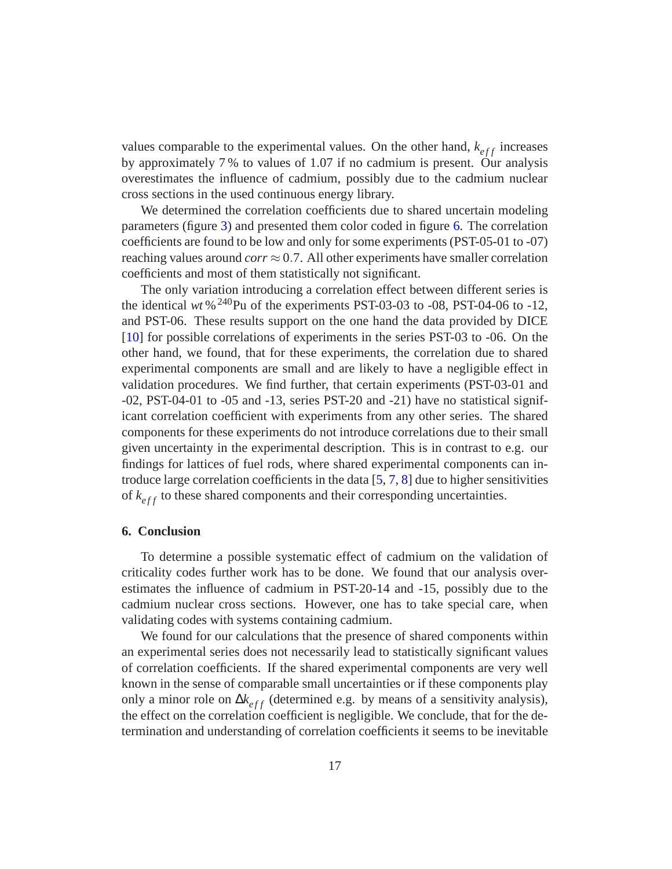values comparable to the experimental values. On the other hand,  $k_{eff}$  increases by approximately 7 % to values of 1.07 if no cadmium is present. Our analysis overestimates the influence of cadmium, possibly due to the cadmium nuclear cross sections in the used continuous energy library.

We determined the correlation coefficients due to shared uncertain modeling parameters (figure [3\)](#page-6-0) and presented them color coded in figure [6.](#page-12-0) The correlation coefficients are found to be low and only for some experiments(PST-05-01 to -07) reaching values around  $corr \approx 0.7$ . All other experiments have smaller correlation coefficients and most of them statistically not significant.

The only variation introducing a correlation effect between different series is the identical  $wt \frac{6^{240}Pu}{v}$  of the experiments PST-03-03 to -08, PST-04-06 to -12, and PST-06. These results support on the one hand the data provided by DICE [\[10\]](#page-18-3) for possible correlations of experiments in the series PST-03 to -06. On the other hand, we found, that for these experiments, the correlation due to shared experimental components are small and are likely to have a negligible effect in validation procedures. We find further, that certain experiments (PST-03-01 and -02, PST-04-01 to -05 and -13, series PST-20 and -21) have no statistical significant correlation coefficient with experiments from any other series. The shared components for these experiments do not introduce correlations due to their small given uncertainty in the experimental description. This is in contrast to e.g. our findings for lattices of fuel rods, where shared experimental components can introduce large correlation coefficients in the data [\[5,](#page-17-4) [7](#page-18-0), [8\]](#page-18-1) due to higher sensitivities of  $k_{eff}$  to these shared components and their corresponding uncertainties.

## <span id="page-16-0"></span>**6. Conclusion**

To determine a possible systematic effect of cadmium on the validation of criticality codes further work has to be done. We found that our analysis overestimates the influence of cadmium in PST-20-14 and -15, possibly due to the cadmium nuclear cross sections. However, one has to take special care, when validating codes with systems containing cadmium.

We found for our calculations that the presence of shared components within an experimental series does not necessarily lead to statistically significant values of correlation coefficients. If the shared experimental components are very well known in the sense of comparable small uncertainties or if these components play only a minor role on  $\Delta k_{eff}$  (determined e.g. by means of a sensitivity analysis), the effect on the correlation coefficient is negligible. We conclude, that for the determination and understanding of correlation coefficients it seems to be inevitable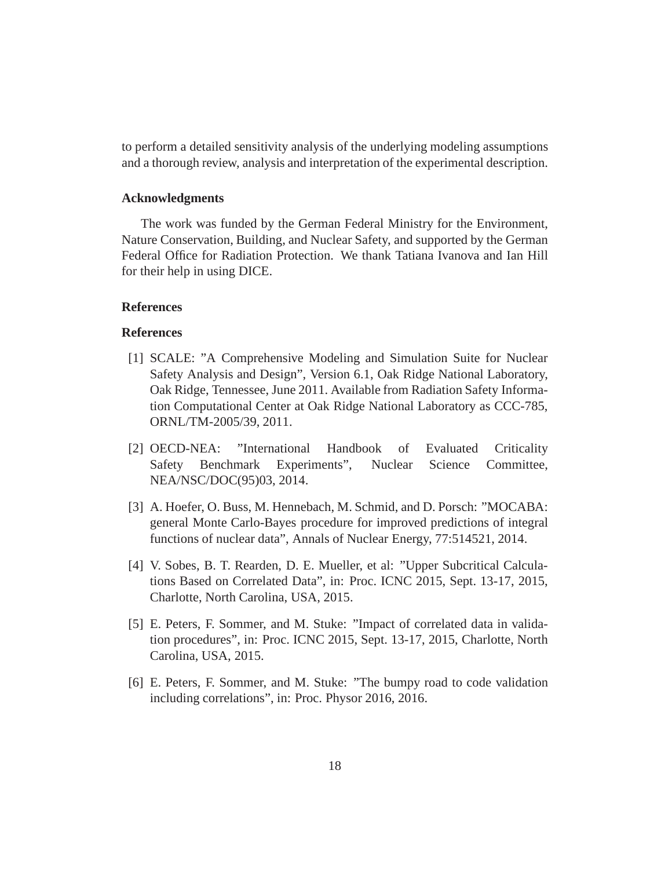to perform a detailed sensitivity analysis of the underlying modeling assumptions and a thorough review, analysis and interpretation of the experimental description.

## **Acknowledgments**

The work was funded by the German Federal Ministry for the Environment, Nature Conservation, Building, and Nuclear Safety, and supported by the German Federal Office for Radiation Protection. We thank Tatiana Ivanova and Ian Hill for their help in using DICE.

## **References**

### **References**

- <span id="page-17-0"></span>[1] SCALE: "A Comprehensive Modeling and Simulation Suite for Nuclear Safety Analysis and Design", Version 6.1, Oak Ridge National Laboratory, Oak Ridge, Tennessee, June 2011. Available from Radiation Safety Information Computational Center at Oak Ridge National Laboratory as CCC-785, ORNL/TM-2005/39, 2011.
- <span id="page-17-1"></span>[2] OECD-NEA: "International Handbook of Evaluated Criticality Safety Benchmark Experiments", Nuclear Science Committee, NEA/NSC/DOC(95)03, 2014.
- <span id="page-17-2"></span>[3] A. Hoefer, O. Buss, M. Hennebach, M. Schmid, and D. Porsch: "MOCABA: general Monte Carlo-Bayes procedure for improved predictions of integral functions of nuclear data", Annals of Nuclear Energy, 77:514521, 2014.
- <span id="page-17-3"></span>[4] V. Sobes, B. T. Rearden, D. E. Mueller, et al: "Upper Subcritical Calculations Based on Correlated Data", in: Proc. ICNC 2015, Sept. 13-17, 2015, Charlotte, North Carolina, USA, 2015.
- <span id="page-17-4"></span>[5] E. Peters, F. Sommer, and M. Stuke: "Impact of correlated data in validation procedures", in: Proc. ICNC 2015, Sept. 13-17, 2015, Charlotte, North Carolina, USA, 2015.
- <span id="page-17-5"></span>[6] E. Peters, F. Sommer, and M. Stuke: "The bumpy road to code validation including correlations", in: Proc. Physor 2016, 2016.